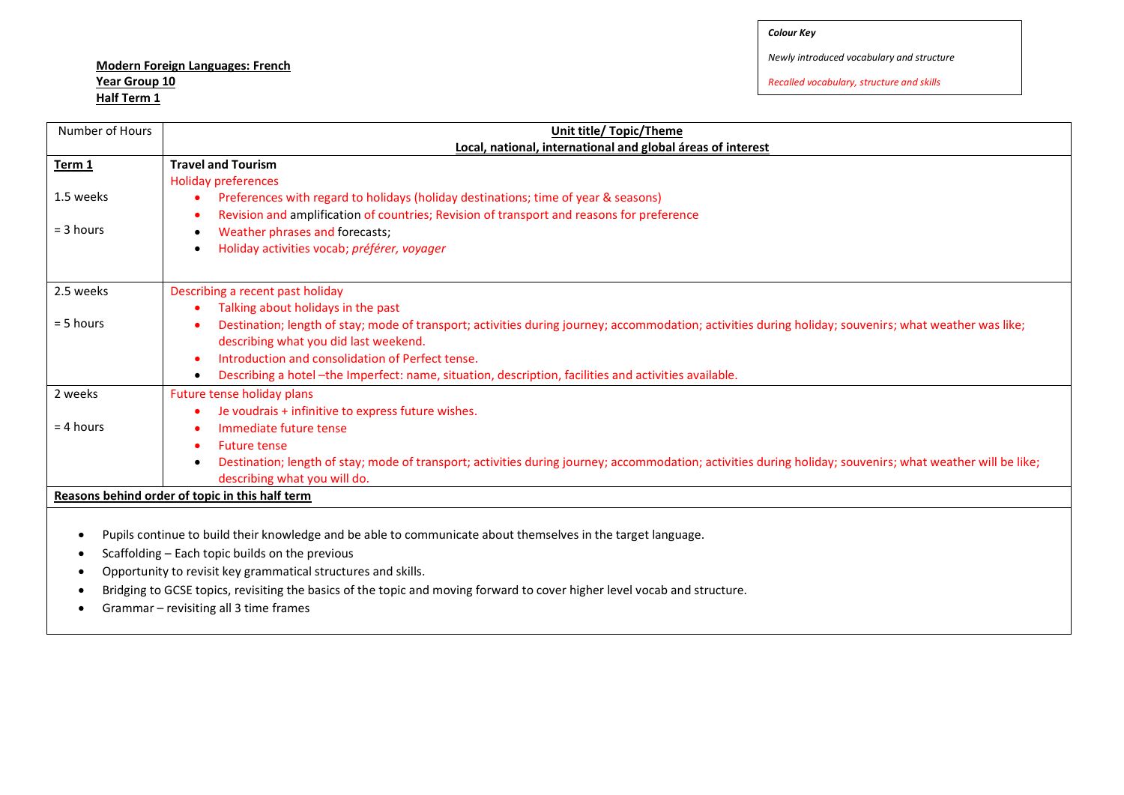## **Modern Foreign Languages: French Year Group 10 Half Term 1**

*Newly introduced vocabulary and structure*

*Recalled vocabulary, structure and skills*

| Number of Hours                                                                                                           | Unit title/ Topic/Theme                                                                                                                                    |  |
|---------------------------------------------------------------------------------------------------------------------------|------------------------------------------------------------------------------------------------------------------------------------------------------------|--|
|                                                                                                                           | Local, national, international and global áreas of interest                                                                                                |  |
| Term 1                                                                                                                    | <b>Travel and Tourism</b>                                                                                                                                  |  |
|                                                                                                                           | Holiday preferences                                                                                                                                        |  |
| 1.5 weeks                                                                                                                 | Preferences with regard to holidays (holiday destinations; time of year & seasons)                                                                         |  |
|                                                                                                                           | Revision and amplification of countries; Revision of transport and reasons for preference                                                                  |  |
| $=$ 3 hours                                                                                                               | Weather phrases and forecasts;<br>$\bullet$                                                                                                                |  |
|                                                                                                                           | Holiday activities vocab; préférer, voyager<br>٠                                                                                                           |  |
|                                                                                                                           |                                                                                                                                                            |  |
| 2.5 weeks                                                                                                                 | Describing a recent past holiday                                                                                                                           |  |
|                                                                                                                           | Talking about holidays in the past                                                                                                                         |  |
| $= 5$ hours                                                                                                               | Destination; length of stay; mode of transport; activities during journey; accommodation; activities during holiday; souvenirs; what weather was like;     |  |
|                                                                                                                           | describing what you did last weekend.                                                                                                                      |  |
|                                                                                                                           | Introduction and consolidation of Perfect tense.                                                                                                           |  |
|                                                                                                                           | Describing a hotel -the Imperfect: name, situation, description, facilities and activities available.                                                      |  |
| 2 weeks                                                                                                                   | Future tense holiday plans                                                                                                                                 |  |
|                                                                                                                           | Je voudrais + infinitive to express future wishes.                                                                                                         |  |
| $= 4$ hours                                                                                                               | Immediate future tense                                                                                                                                     |  |
|                                                                                                                           | <b>Future tense</b>                                                                                                                                        |  |
|                                                                                                                           | Destination; length of stay; mode of transport; activities during journey; accommodation; activities during holiday; souvenirs; what weather will be like; |  |
|                                                                                                                           | describing what you will do.                                                                                                                               |  |
| Reasons behind order of topic in this half term                                                                           |                                                                                                                                                            |  |
|                                                                                                                           |                                                                                                                                                            |  |
| Pupils continue to build their knowledge and be able to communicate about themselves in the target language.<br>$\bullet$ |                                                                                                                                                            |  |

- $\bullet$  Scaffolding Each topic builds on the previous
- Opportunity to revisit key grammatical structures and skills.
- Bridging to GCSE topics, revisiting the basics of the topic and moving forward to cover higher level vocab and structure.
- Grammar revisiting all 3 time frames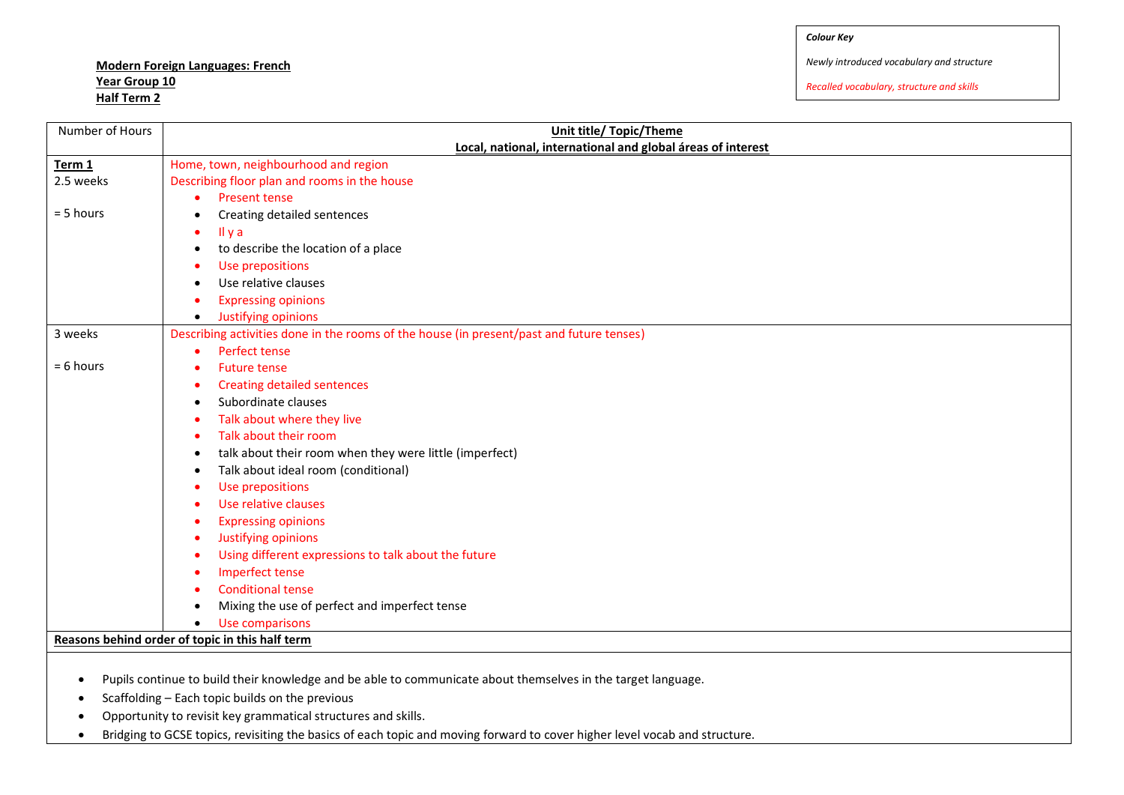## **Modern Foreign Languages: French Year Group 10 Half Term 2**

*Newly introduced vocabulary and structure*

*Recalled vocabulary, structure and skills*

| Number of Hours   | <b>Unit title/ Topic/Theme</b>                                                                                                                                  |  |
|-------------------|-----------------------------------------------------------------------------------------------------------------------------------------------------------------|--|
|                   | Local, national, international and global áreas of interest                                                                                                     |  |
| Term <sub>1</sub> | Home, town, neighbourhood and region                                                                                                                            |  |
| 2.5 weeks         | Describing floor plan and rooms in the house                                                                                                                    |  |
|                   | <b>Present tense</b>                                                                                                                                            |  |
| $= 5$ hours       | Creating detailed sentences<br>$\bullet$                                                                                                                        |  |
|                   | Il y a<br>$\bullet$                                                                                                                                             |  |
|                   | to describe the location of a place<br>$\bullet$                                                                                                                |  |
|                   | Use prepositions                                                                                                                                                |  |
|                   | Use relative clauses                                                                                                                                            |  |
|                   | <b>Expressing opinions</b>                                                                                                                                      |  |
|                   | Justifying opinions<br>$\bullet$                                                                                                                                |  |
| 3 weeks           | Describing activities done in the rooms of the house (in present/past and future tenses)                                                                        |  |
|                   | Perfect tense<br>$\bullet$                                                                                                                                      |  |
| $= 6$ hours       | <b>Future tense</b><br>$\bullet$                                                                                                                                |  |
|                   | <b>Creating detailed sentences</b><br>٠                                                                                                                         |  |
|                   | Subordinate clauses<br>٠                                                                                                                                        |  |
|                   | Talk about where they live                                                                                                                                      |  |
|                   | Talk about their room                                                                                                                                           |  |
|                   | talk about their room when they were little (imperfect)<br>٠                                                                                                    |  |
|                   | Talk about ideal room (conditional)<br>$\bullet$                                                                                                                |  |
|                   | Use prepositions                                                                                                                                                |  |
|                   | Use relative clauses                                                                                                                                            |  |
|                   | <b>Expressing opinions</b><br>٠                                                                                                                                 |  |
|                   | Justifying opinions<br>$\bullet$                                                                                                                                |  |
|                   | Using different expressions to talk about the future<br>$\bullet$                                                                                               |  |
|                   | <b>Imperfect tense</b><br>$\bullet$                                                                                                                             |  |
|                   | <b>Conditional tense</b>                                                                                                                                        |  |
|                   | Mixing the use of perfect and imperfect tense                                                                                                                   |  |
|                   | Use comparisons<br>$\bullet$                                                                                                                                    |  |
|                   | Reasons behind order of topic in this half term                                                                                                                 |  |
| $\bullet$<br>٠    | Pupils continue to build their knowledge and be able to communicate about themselves in the target language.<br>Scaffolding - Each topic builds on the previous |  |
| $\bullet$         | Opportunity to revisit key grammatical structures and skills.                                                                                                   |  |

Bridging to GCSE topics, revisiting the basics of each topic and moving forward to cover higher level vocab and structure.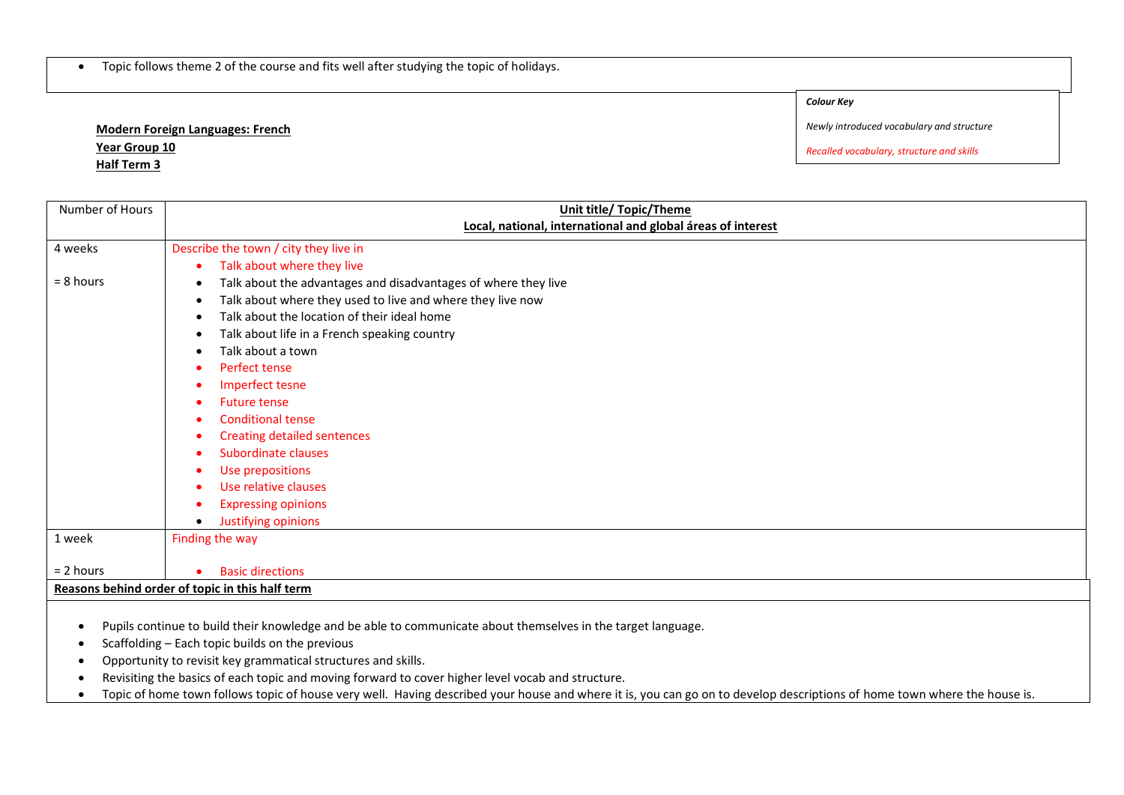• Topic follows theme 2 of the course and fits well after studying the topic of holidays.

*Colour Key*

**Modern Foreign Languages: French Year Group 10 Half Term 3**

*Newly introduced vocabulary and structure*

*Recalled vocabulary, structure and skills*

| Number of Hours                                 | <b>Unit title/ Topic/Theme</b>                                 |
|-------------------------------------------------|----------------------------------------------------------------|
|                                                 | Local, national, international and global áreas of interest    |
|                                                 |                                                                |
| 4 weeks                                         | Describe the town / city they live in                          |
|                                                 | Talk about where they live<br>$\bullet$                        |
| $= 8$ hours                                     | Talk about the advantages and disadvantages of where they live |
|                                                 | Talk about where they used to live and where they live now     |
|                                                 | Talk about the location of their ideal home<br>$\bullet$       |
|                                                 | Talk about life in a French speaking country<br>$\bullet$      |
|                                                 | Talk about a town<br>$\bullet$                                 |
|                                                 | Perfect tense                                                  |
|                                                 | Imperfect tesne                                                |
|                                                 | <b>Future tense</b>                                            |
|                                                 | <b>Conditional tense</b>                                       |
|                                                 | <b>Creating detailed sentences</b>                             |
|                                                 | Subordinate clauses                                            |
|                                                 | Use prepositions                                               |
|                                                 | Use relative clauses                                           |
|                                                 | <b>Expressing opinions</b>                                     |
|                                                 | Justifying opinions                                            |
| 1 week                                          | Finding the way                                                |
|                                                 |                                                                |
| $= 2$ hours                                     | <b>Basic directions</b>                                        |
| Reasons behind order of topic in this half term |                                                                |

Pupils continue to build their knowledge and be able to communicate about themselves in the target language.

• Scaffolding – Each topic builds on the previous

Opportunity to revisit key grammatical structures and skills.

Revisiting the basics of each topic and moving forward to cover higher level vocab and structure.

• Topic of home town follows topic of house very well. Having described your house and where it is, you can go on to develop descriptions of home town where the house is.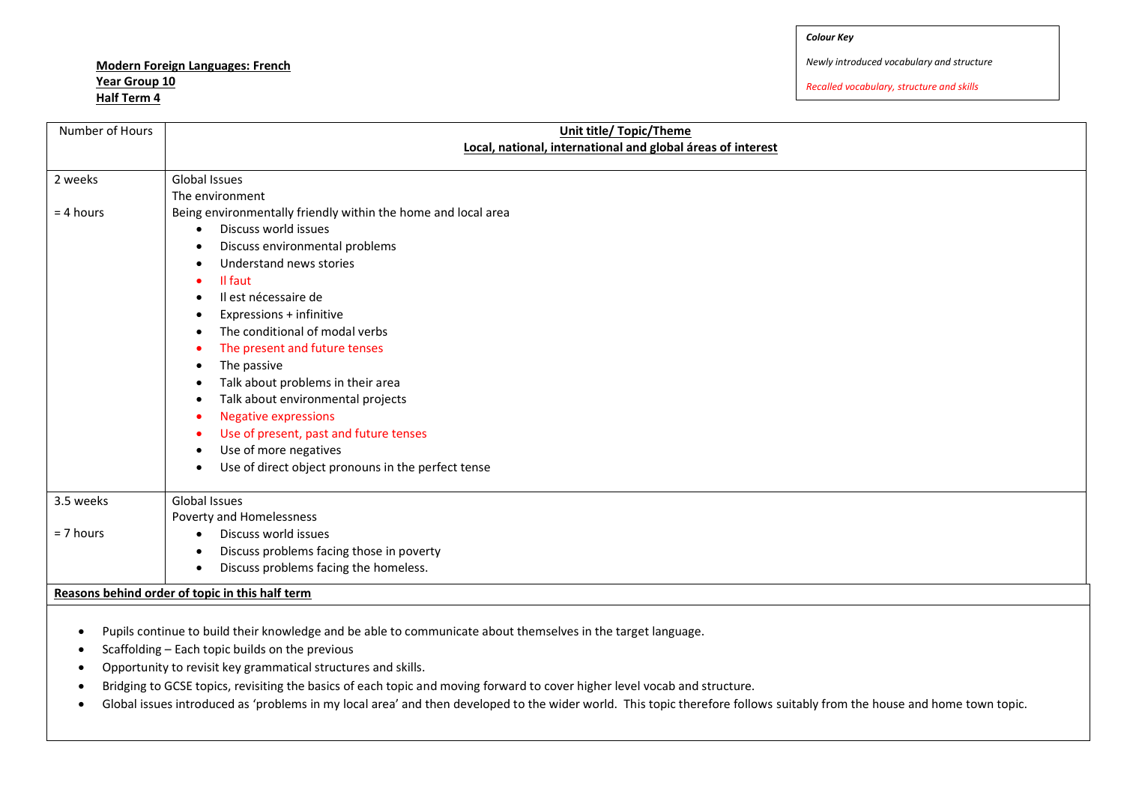**Modern Foreign Languages: French Year Group 10 Half Term 4**

*Newly introduced vocabulary and structure*

*Recalled vocabulary, structure and skills*

| Number of Hours | <b>Unit title/ Topic/Theme</b>                                                        |
|-----------------|---------------------------------------------------------------------------------------|
|                 | Local, national, international and global áreas of interest                           |
|                 |                                                                                       |
| 2 weeks         | Global Issues<br>The environment                                                      |
|                 |                                                                                       |
| $= 4$ hours     | Being environmentally friendly within the home and local area<br>Discuss world issues |
|                 |                                                                                       |
|                 | Discuss environmental problems<br>$\bullet$                                           |
|                 | Understand news stories<br>$\bullet$                                                  |
|                 | Il faut                                                                               |
|                 | Il est nécessaire de                                                                  |
|                 | Expressions + infinitive                                                              |
|                 | The conditional of modal verbs                                                        |
|                 | The present and future tenses                                                         |
|                 | The passive                                                                           |
|                 | Talk about problems in their area                                                     |
|                 | Talk about environmental projects                                                     |
|                 | <b>Negative expressions</b><br>- 0                                                    |
|                 | Use of present, past and future tenses<br>$\bullet$                                   |
|                 | Use of more negatives                                                                 |
|                 | Use of direct object pronouns in the perfect tense<br>$\bullet$                       |
| 3.5 weeks       | <b>Global Issues</b>                                                                  |
|                 | Poverty and Homelessness                                                              |
| $= 7$ hours     | Discuss world issues<br>$\bullet$                                                     |
|                 | Discuss problems facing those in poverty<br>$\bullet$                                 |
|                 | Discuss problems facing the homeless.<br>$\bullet$                                    |
|                 | Reasons behind order of topic in this half term                                       |
|                 |                                                                                       |

- Pupils continue to build their knowledge and be able to communicate about themselves in the target language.
- $\bullet$  Scaffolding Each topic builds on the previous
- Opportunity to revisit key grammatical structures and skills.
- Bridging to GCSE topics, revisiting the basics of each topic and moving forward to cover higher level vocab and structure.
- Global issues introduced as 'problems in my local area' and then developed to the wider world. This topic therefore follows suitably from the house and home town topic.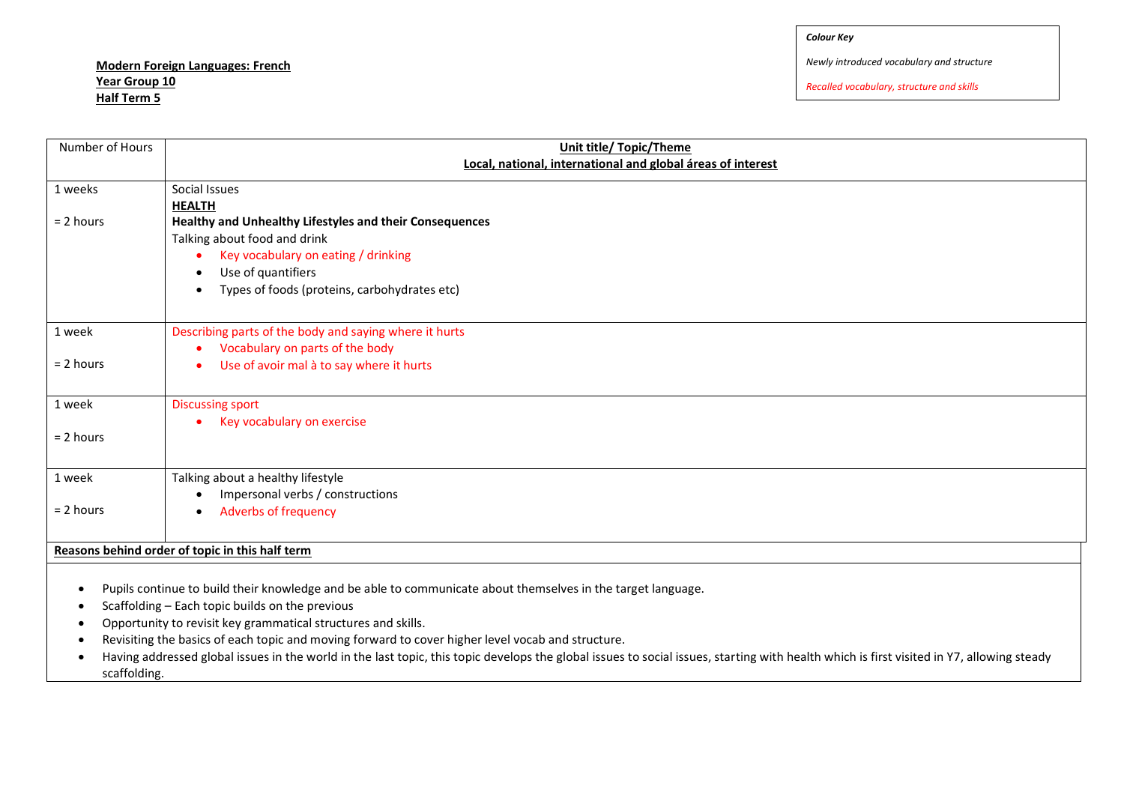## **Modern Foreign Languages: French Year Group 10 Half Term 5**

*Newly introduced vocabulary and structure*

*Recalled vocabulary, structure and skills*

| Number of Hours                                 | <b>Unit title/ Topic/Theme</b>                              |  |
|-------------------------------------------------|-------------------------------------------------------------|--|
|                                                 | Local, national, international and global áreas of interest |  |
| 1 weeks                                         | Social Issues                                               |  |
|                                                 | <b>HEALTH</b>                                               |  |
| $= 2$ hours                                     | Healthy and Unhealthy Lifestyles and their Consequences     |  |
|                                                 | Talking about food and drink                                |  |
|                                                 | Key vocabulary on eating / drinking                         |  |
|                                                 | Use of quantifiers                                          |  |
|                                                 | Types of foods (proteins, carbohydrates etc)<br>$\bullet$   |  |
|                                                 |                                                             |  |
| 1 week                                          | Describing parts of the body and saying where it hurts      |  |
|                                                 | Vocabulary on parts of the body                             |  |
| $= 2$ hours                                     | Use of avoir mal à to say where it hurts<br>$\bullet$       |  |
|                                                 |                                                             |  |
| 1 week                                          | <b>Discussing sport</b>                                     |  |
|                                                 | Key vocabulary on exercise<br>$\bullet$                     |  |
| $= 2$ hours                                     |                                                             |  |
|                                                 |                                                             |  |
| 1 week                                          | Talking about a healthy lifestyle                           |  |
|                                                 | Impersonal verbs / constructions                            |  |
| $= 2$ hours                                     | <b>Adverbs of frequency</b><br>$\bullet$                    |  |
|                                                 |                                                             |  |
| Reasons behind order of topic in this half term |                                                             |  |
|                                                 |                                                             |  |

Pupils continue to build their knowledge and be able to communicate about themselves in the target language.

- $\bullet$  Scaffolding Each topic builds on the previous
- Opportunity to revisit key grammatical structures and skills.
- Revisiting the basics of each topic and moving forward to cover higher level vocab and structure.
- Having addressed global issues in the world in the last topic, this topic develops the global issues to social issues, starting with health which is first visited in Y7, allowing steady scaffolding.